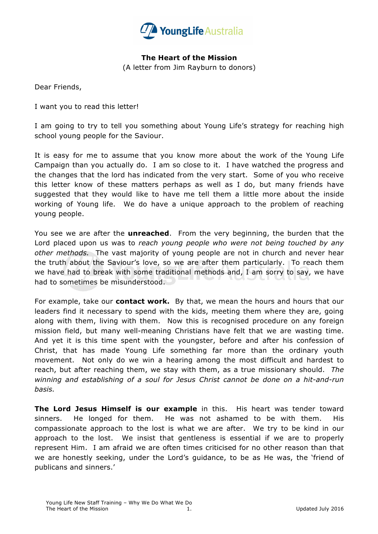

## **The Heart of the Mission** (A letter from Jim Rayburn to donors)

Dear Friends,

I want you to read this letter!

I am going to try to tell you something about Young Life's strategy for reaching high school young people for the Saviour.

It is easy for me to assume that you know more about the work of the Young Life Campaign than you actually do. I am so close to it. I have watched the progress and the changes that the lord has indicated from the very start. Some of you who receive this letter know of these matters perhaps as well as I do, but many friends have suggested that they would like to have me tell them a little more about the inside working of Young life. We do have a unique approach to the problem of reaching young people.

You see we are after the **unreached**. From the very beginning, the burden that the Lord placed upon us was to *reach young people who were not being touched by any other methods.* The vast majority of young people are not in church and never hear the truth about the Saviour's love, so we are after them particularly. To reach them we have had to break with some traditional methods and, I am sorry to say, we have had to sometimes be misunderstood.

For example, take our **contact work.** By that, we mean the hours and hours that our leaders find it necessary to spend with the kids, meeting them where they are, going along with them, living with them. Now this is recognised procedure on any foreign mission field, but many well-meaning Christians have felt that we are wasting time. And yet it is this time spent with the youngster, before and after his confession of Christ, that has made Young Life something far more than the ordinary youth movement. Not only do we win a hearing among the most difficult and hardest to reach, but after reaching them, we stay with them, as a true missionary should. *The winning and establishing of a soul for Jesus Christ cannot be done on a hit-and-run basis.*

**The Lord Jesus Himself is our example** in this. His heart was tender toward sinners. He longed for them. He was not ashamed to be with them. His compassionate approach to the lost is what we are after. We try to be kind in our approach to the lost. We insist that gentleness is essential if we are to properly represent Him. I am afraid we are often times criticised for no other reason than that we are honestly seeking, under the Lord's guidance, to be as He was, the 'friend of publicans and sinners.'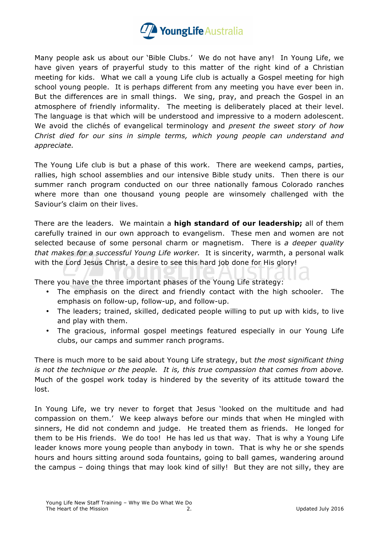

Many people ask us about our 'Bible Clubs.' We do not have any! In Young Life, we have given years of prayerful study to this matter of the right kind of a Christian meeting for kids. What we call a young Life club is actually a Gospel meeting for high school young people. It is perhaps different from any meeting you have ever been in. But the differences are in small things. We sing, pray, and preach the Gospel in an atmosphere of friendly informality. The meeting is deliberately placed at their level. The language is that which will be understood and impressive to a modern adolescent. We avoid the clichés of evangelical terminology and *present the sweet story of how Christ died for our sins in simple terms, which young people can understand and appreciate.*

The Young Life club is but a phase of this work. There are weekend camps, parties, rallies, high school assemblies and our intensive Bible study units. Then there is our summer ranch program conducted on our three nationally famous Colorado ranches where more than one thousand young people are winsomely challenged with the Saviour's claim on their lives.

There are the leaders. We maintain a **high standard of our leadership;** all of them carefully trained in our own approach to evangelism. These men and women are not selected because of some personal charm or magnetism. There is *a deeper quality that makes for a successful Young Life worker.* It is sincerity, warmth, a personal walk with the Lord Jesus Christ, a desire to see this hard job done for His glory!

There you have the three important phases of the Young Life strategy:

- The emphasis on the direct and friendly contact with the high schooler. The emphasis on follow-up, follow-up, and follow-up.
- The leaders; trained, skilled, dedicated people willing to put up with kids, to live and play with them.
- The gracious, informal gospel meetings featured especially in our Young Life clubs, our camps and summer ranch programs.

There is much more to be said about Young Life strategy, but *the most significant thing is not the technique or the people. It is, this true compassion that comes from above.* Much of the gospel work today is hindered by the severity of its attitude toward the lost.

In Young Life, we try never to forget that Jesus 'looked on the multitude and had compassion on them.' We keep always before our minds that when He mingled with sinners, He did not condemn and judge. He treated them as friends. He longed for them to be His friends. We do too! He has led us that way. That is why a Young Life leader knows more young people than anybody in town. That is why he or she spends hours and hours sitting around soda fountains, going to ball games, wandering around the campus – doing things that may look kind of silly! But they are not silly, they are